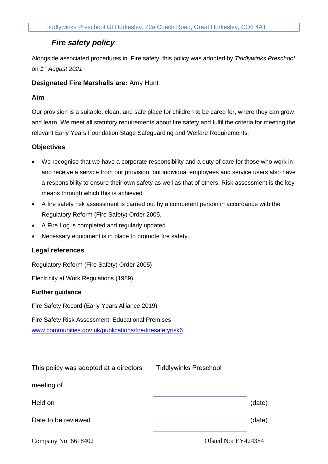# *Fire safety policy*

Alongside associated procedures in Fire safety, this policy was adopted by *Tiddlywinks Preschool* on *1 st August 2021*

# **Designated Fire Marshalls are:** Amy Hunt

# **Aim**

Our provision is a suitable, clean, and safe place for children to be cared for, where they can grow and learn. We meet all statutory requirements about fire safety and fulfil the criteria for meeting the relevant Early Years Foundation Stage Safeguarding and Welfare Requirements.

## **Objectives**

- We recognise that we have a corporate responsibility and a duty of care for those who work in and receive a service from our provision, but individual employees and service users also have a responsibility to ensure their own safety as well as that of others. Risk assessment is the key means through which this is achieved.
- A fire safety risk assessment is carried out by a competent person in accordance with the Regulatory Reform (Fire Safety) Order 2005.
- A Fire Log is completed and regularly updated.
- Necessary equipment is in place to promote fire safety.

### **Legal references**

Regulatory Reform (Fire Safety) Order 2005)

Electricity at Work Regulations (1989)

### **Further guidance**

Fire Safety Record (Early Years Alliance 2019)

Fire Safety Risk Assessment: Educational Premises [www.communities.gov.uk/publications/fire/firesafetyrisk6](http://www.communities.gov.uk/publications/fire/firesafetyrisk6)

| This policy was adopted at a directors                                                                                                                                                                                                                                                                                             | <b>Tiddlywinks Preschool</b>       |                |
|------------------------------------------------------------------------------------------------------------------------------------------------------------------------------------------------------------------------------------------------------------------------------------------------------------------------------------|------------------------------------|----------------|
| meeting of                                                                                                                                                                                                                                                                                                                         |                                    |                |
| Held on                                                                                                                                                                                                                                                                                                                            |                                    | (date)         |
| Date to be reviewed                                                                                                                                                                                                                                                                                                                |                                    | (date)         |
| $\mathbf{v}$ $\mathbf{v}$ $\mathbf{v}$ $\mathbf{v}$ $\mathbf{v}$ $\mathbf{v}$ $\mathbf{v}$ $\mathbf{v}$ $\mathbf{v}$ $\mathbf{v}$ $\mathbf{v}$ $\mathbf{v}$ $\mathbf{v}$ $\mathbf{v}$ $\mathbf{v}$ $\mathbf{v}$ $\mathbf{v}$ $\mathbf{v}$ $\mathbf{v}$ $\mathbf{v}$ $\mathbf{v}$ $\mathbf{v}$ $\mathbf{v}$ $\mathbf{v}$ $\mathbf{$ | $\sim$ $\sim$ $\sim$ $\sim$ $\sim$ | T T T 10 100 1 |